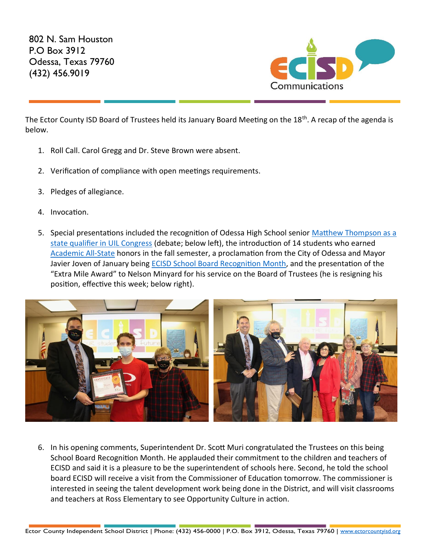802 N. Sam Houston P.O Box 3912 Odessa, Texas 79760 (432) 456.9019



The Ector County ISD Board of Trustees held its January Board Meeting on the 18<sup>th</sup>. A recap of the agenda is below.

- 1. Roll Call. Carol Gregg and Dr. Steve Brown were absent.
- 2. Verification of compliance with open meetings requirements.
- 3. Pledges of allegiance.
- 4. Invocation.
- 5. Special presentations included the recognition of Odessa High School senior Matthew Thompson as a [state qualifier in UIL Congress](https://www.oaoa.com/local-news/education/ecisd/ohs-senior-qualifies-for-uil-congress/) (debate; below left), the introduction of 14 students who earned [Academic All-State](https://youtu.be/coe4ys4OydA) honors in the fall semester, a proclamation from the City of Odessa and Mayor Javier Joven of January being [ECISD School Board Recognition Month,](https://fb.watch/aCRxjb8Sxs/) and the presentation of the "Extra Mile Award" to Nelson Minyard for his service on the Board of Trustees (he is resigning his position, effective this week; below right).



6. In his opening comments, Superintendent Dr. Scott Muri congratulated the Trustees on this being School Board Recognition Month. He applauded their commitment to the children and teachers of ECISD and said it is a pleasure to be the superintendent of schools here. Second, he told the school board ECISD will receive a visit from the Commissioner of Education tomorrow. The commissioner is interested in seeing the talent development work being done in the District, and will visit classrooms and teachers at Ross Elementary to see Opportunity Culture in action.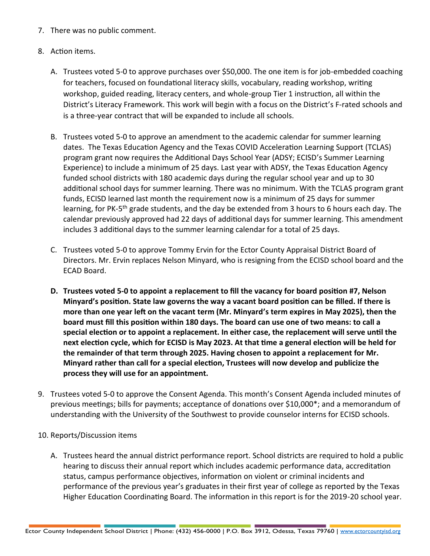- 7. There was no public comment.
- 8. Action items.
	- A. Trustees voted 5-0 to approve purchases over \$50,000. The one item is for job-embedded coaching for teachers, focused on foundational literacy skills, vocabulary, reading workshop, writing workshop, guided reading, literacy centers, and whole-group Tier 1 instruction, all within the District's Literacy Framework. This work will begin with a focus on the District's F-rated schools and is a three-year contract that will be expanded to include all schools.
	- B. Trustees voted 5-0 to approve an amendment to the academic calendar for summer learning dates. The Texas Education Agency and the Texas COVID Acceleration Learning Support (TCLAS) program grant now requires the Additional Days School Year (ADSY; ECISD's Summer Learning Experience) to include a minimum of 25 days. Last year with ADSY, the Texas Education Agency funded school districts with 180 academic days during the regular school year and up to 30 additional school days for summer learning. There was no minimum. With the TCLAS program grant funds, ECISD learned last month the requirement now is a minimum of 25 days for summer learning, for PK-5<sup>th</sup> grade students, and the day be extended from 3 hours to 6 hours each day. The calendar previously approved had 22 days of additional days for summer learning. This amendment includes 3 additional days to the summer learning calendar for a total of 25 days.
	- C. Trustees voted 5-0 to approve Tommy Ervin for the Ector County Appraisal District Board of Directors. Mr. Ervin replaces Nelson Minyard, who is resigning from the ECISD school board and the ECAD Board.
	- **D. Trustees voted 5-0 to appoint a replacement to fill the vacancy for board position #7, Nelson Minyard's position. State law governs the way a vacant board position can be filled. If there is more than one year left on the vacant term (Mr. Minyard's term expires in May 2025), then the board must fill this position within 180 days. The board can use one of two means: to call a special election or to appoint a replacement. In either case, the replacement will serve until the next election cycle, which for ECISD is May 2023. At that time a general election will be held for the remainder of that term through 2025. Having chosen to appoint a replacement for Mr. Minyard rather than call for a special election, Trustees will now develop and publicize the process they will use for an appointment.**
- 9. Trustees voted 5-0 to approve the Consent Agenda. This month's Consent Agenda included minutes of previous meetings; bills for payments; acceptance of donations over \$10,000\*; and a memorandum of understanding with the University of the Southwest to provide counselor interns for ECISD schools.
- 10. Reports/Discussion items
	- A. Trustees heard the annual district performance report. School districts are required to hold a public hearing to discuss their annual report which includes academic performance data, accreditation status, campus performance objectives, information on violent or criminal incidents and performance of the previous year's graduates in their first year of college as reported by the Texas Higher Education Coordinating Board. The information in this report is for the 2019-20 school year.